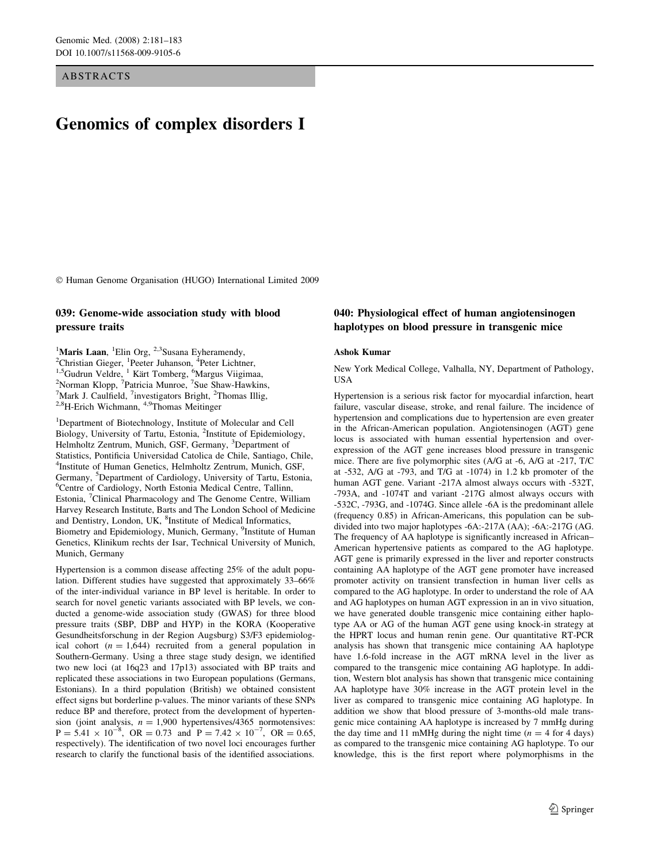ABSTRACTS

# Genomics of complex disorders I

Human Genome Organisation (HUGO) International Limited 2009

#### 039: Genome-wide association study with blood pressure traits

<sup>1</sup>Maris Laan, <sup>1</sup>Elin Org, <sup>2,3</sup>Susana Eyheramendy, <sup>2</sup>Christian Giaggr. <sup>1</sup>Peater Unbanson. <sup>4</sup>Peter Unbar <sup>2</sup>Christian Gieger, <sup>1</sup>Peeter Juhanson, <sup>4</sup>Peter Lichtner,<br><sup>1,5</sup>Gudrun Veldre, <sup>1</sup> Kärt Tomberg, <sup>6</sup>Margus Viigimaa,<br><sup>2</sup>Norman Klopp, <sup>7</sup>Patricia Munroe, <sup>7</sup>Sue Shaw-Hawkins,<br><sup>7</sup>Mark J. Caulfield, <sup>7</sup>investigators Bright Mark J. Caulfield, <sup>7</sup>investigators Bright, <sup>2</sup>Thomas Illig, 2,8H-Erich Wichmann, 4,9Thomas Meitinger

<sup>1</sup>Department of Biotechnology, Institute of Molecular and Cell Biology, University of Tartu, Estonia, <sup>2</sup>Institute of Epidemiology, Helmholtz Zentrum, Munich, GSF, Germany, <sup>3</sup>Department of Statistics, Pontificia Universidad Catolica de Chile, Santiago, Chile, 4 Institute of Human Genetics, Helmholtz Zentrum, Munich, GSF, Germany, <sup>5</sup>Department of Cardiology, University of Tartu, Estonia, <sup>6</sup>Centre of Cardiology, North Estonia Medical Centre, Tallinn, Estonia, <sup>7</sup>Clinical Pharmacology and The Genome Centre, William Harvey Research Institute, Barts and The London School of Medicine and Dentistry, London, UK, <sup>8</sup>Institute of Medical Informatics, Biometry and Epidemiology, Munich, Germany, <sup>9</sup>Institute of Human Genetics, Klinikum rechts der Isar, Technical University of Munich, Munich, Germany

Hypertension is a common disease affecting 25% of the adult population. Different studies have suggested that approximately 33–66% of the inter-individual variance in BP level is heritable. In order to search for novel genetic variants associated with BP levels, we conducted a genome-wide association study (GWAS) for three blood pressure traits (SBP, DBP and HYP) in the KORA (Kooperative Gesundheitsforschung in der Region Augsburg) S3/F3 epidemiological cohort ( $n = 1,644$ ) recruited from a general population in Southern-Germany. Using a three stage study design, we identified two new loci (at 16q23 and 17p13) associated with BP traits and replicated these associations in two European populations (Germans, Estonians). In a third population (British) we obtained consistent effect signs but borderline p-values. The minor variants of these SNPs reduce BP and therefore, protect from the development of hypertension (joint analysis,  $n = 1,900$  hypertensives/4365 normotensives:  $P = 5.41 \times 10^{-8}$ , OR = 0.73 and  $P = 7.42 \times 10^{-7}$ , OR = 0.65, respectively). The identification of two novel loci encourages further research to clarify the functional basis of the identified associations.

## 040: Physiological effect of human angiotensinogen haplotypes on blood pressure in transgenic mice

#### Ashok Kumar

New York Medical College, Valhalla, NY, Department of Pathology, **USA** 

Hypertension is a serious risk factor for myocardial infarction, heart failure, vascular disease, stroke, and renal failure. The incidence of hypertension and complications due to hypertension are even greater in the African-American population. Angiotensinogen (AGT) gene locus is associated with human essential hypertension and overexpression of the AGT gene increases blood pressure in transgenic mice. There are five polymorphic sites (A/G at -6, A/G at -217, T/C at -532, A/G at -793, and T/G at -1074) in 1.2 kb promoter of the human AGT gene. Variant -217A almost always occurs with -532T, -793A, and -1074T and variant -217G almost always occurs with -532C, -793G, and -1074G. Since allele -6A is the predominant allele (frequency 0.85) in African-Americans, this population can be subdivided into two major haplotypes -6A:-217A (AA); -6A:-217G (AG. The frequency of AA haplotype is significantly increased in African– American hypertensive patients as compared to the AG haplotype. AGT gene is primarily expressed in the liver and reporter constructs containing AA haplotype of the AGT gene promoter have increased promoter activity on transient transfection in human liver cells as compared to the AG haplotype. In order to understand the role of AA and AG haplotypes on human AGT expression in an in vivo situation, we have generated double transgenic mice containing either haplotype AA or AG of the human AGT gene using knock-in strategy at the HPRT locus and human renin gene. Our quantitative RT-PCR analysis has shown that transgenic mice containing AA haplotype have 1.6-fold increase in the AGT mRNA level in the liver as compared to the transgenic mice containing AG haplotype. In addition, Western blot analysis has shown that transgenic mice containing AA haplotype have 30% increase in the AGT protein level in the liver as compared to transgenic mice containing AG haplotype. In addition we show that blood pressure of 3-months-old male transgenic mice containing AA haplotype is increased by 7 mmHg during the day time and 11 mMHg during the night time ( $n = 4$  for 4 days) as compared to the transgenic mice containing AG haplotype. To our knowledge, this is the first report where polymorphisms in the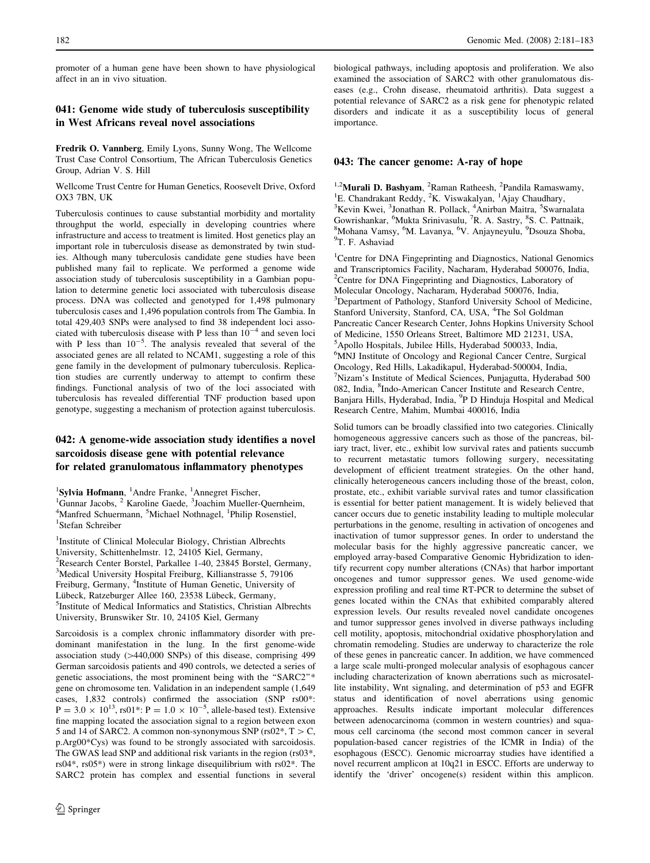promoter of a human gene have been shown to have physiological affect in an in vivo situation.

### 041: Genome wide study of tuberculosis susceptibility in West Africans reveal novel associations

Fredrik O. Vannberg, Emily Lyons, Sunny Wong, The Wellcome Trust Case Control Consortium, The African Tuberculosis Genetics Group, Adrian V. S. Hill

Wellcome Trust Centre for Human Genetics, Roosevelt Drive, Oxford OX3 7BN, UK

Tuberculosis continues to cause substantial morbidity and mortality throughput the world, especially in developing countries where infrastructure and access to treatment is limited. Host genetics play an important role in tuberculosis disease as demonstrated by twin studies. Although many tuberculosis candidate gene studies have been published many fail to replicate. We performed a genome wide association study of tuberculosis susceptibility in a Gambian population to determine genetic loci associated with tuberculosis disease process. DNA was collected and genotyped for 1,498 pulmonary tuberculosis cases and 1,496 population controls from The Gambia. In total 429,403 SNPs were analysed to find 38 independent loci associated with tuberculosis disease with P less than  $10^{-4}$  and seven loci with P less than  $10^{-5}$ . The analysis revealed that several of the associated genes are all related to NCAM1, suggesting a role of this gene family in the development of pulmonary tuberculosis. Replication studies are currently underway to attempt to confirm these findings. Functional analysis of two of the loci associated with tuberculosis has revealed differential TNF production based upon genotype, suggesting a mechanism of protection against tuberculosis.

## 042: A genome-wide association study identifies a novel sarcoidosis disease gene with potential relevance for related granulomatous inflammatory phenotypes

<sup>1</sup>Sylvia Hofmann, <sup>1</sup>Andre Franke, <sup>1</sup>Annegret Fischer, <sup>1</sup>Gunner Jacobe, <sup>2</sup> Karolina Gaeda, <sup>3</sup>Joachim Mualler <sup>1</sup>Gunnar Jacobs, <sup>2</sup> Karoline Gaede, <sup>3</sup>Joachim Mueller-Quernheim,  $4$ Manfred Schuermann, <sup>5</sup>Michael Nothnagel, <sup>1</sup>Philip Posenstiel  $^{4}$ Manfred Schuermann, <sup>5</sup>Michael Nothnagel, <sup>1</sup>Philip Rosenstiel, <sup>1</sup>Stefen Schreiber <sup>1</sup>Stefan Schreiber

<sup>1</sup>Institute of Clinical Molecular Biology, Christian Albrechts University, Schittenhelmstr. 12, 24105 Kiel, Germany, 2 Research Center Borstel, Parkallee 1-40, 23845 Borstel, Germany, <sup>3</sup>Medical University Hospital Freiburg, Killianstrasse 5, 79106 Freiburg, Germany, <sup>4</sup>Institute of Human Genetic, University of Lübeck, Ratzeburger Allee 160, 23538 Lübeck, Germany, <sup>5</sup>Institute of Medical Informatics and Statistics, Christian Albrechts University, Brunswiker Str. 10, 24105 Kiel, Germany

Sarcoidosis is a complex chronic inflammatory disorder with predominant manifestation in the lung. In the first genome-wide association study  $(>440,000$  SNPs) of this disease, comprising 499 German sarcoidosis patients and 490 controls, we detected a series of genetic associations, the most prominent being with the ''SARC2''\* gene on chromosome ten. Validation in an independent sample (1,649 cases, 1,832 controls) confirmed the association (SNP rs00\*:  $P = 3.0 \times 10^{13}$ , rs01\*:  $P = 1.0 \times 10^{-5}$ , allele-based test). Extensive fine mapping located the association signal to a region between exon 5 and 14 of SARC2. A common non-synonymous SNP (rs02\*,  $T > C$ , p.Arg00\*Cys) was found to be strongly associated with sarcoidosis. The GWAS lead SNP and additional risk variants in the region (rs03\*, rs04\*, rs05\*) were in strong linkage disequilibrium with rs02\*. The SARC2 protein has complex and essential functions in several biological pathways, including apoptosis and proliferation. We also examined the association of SARC2 with other granulomatous diseases (e.g., Crohn disease, rheumatoid arthritis). Data suggest a potential relevance of SARC2 as a risk gene for phenotypic related disorders and indicate it as a susceptibility locus of general importance.

#### 043: The cancer genome: A-ray of hope

<sup>1,2</sup>**Murali D. Bashyam**, <sup>2</sup>Raman Ratheesh, <sup>2</sup>Pandila Ramaswamy, <sup>1</sup>E. Chandrakant Reddy, <sup>2</sup>K. Viswakalyan, <sup>1</sup>Ajay Chaudhary, <sup>3</sup>Kavin Kugi, <sup>3</sup>Jonathan P. Pollack, <sup>4</sup>Anithan Maitra, <sup>5</sup>Swarr Kevin Kwei, <sup>3</sup>Jonathan R. Pollack, <sup>4</sup>Anirban Maitra, <sup>5</sup>Swarnalata Gowrishankar, <sup>6</sup>Mukta Srinivasulu, <sup>7</sup>R. A. Sastry, <sup>8</sup>S. C. Pattnaik, <sup>8</sup>Mohana Vamsy <sup>6</sup>M. Lavanya, <sup>6</sup>V. Anjaynayulu, <sup>9</sup>Deouza Shoba <sup>8</sup>Mohana Vamsy, <sup>6</sup>M. Lavanya, <sup>6</sup>V. Anjayneyulu, <sup>9</sup>Dsouza Shoba, <sup>9</sup>T. F. Ashaviad

<sup>1</sup>Centre for DNA Fingeprinting and Diagnostics, National Genomics and Transcriptomics Facility, Nacharam, Hyderabad 500076, India, <sup>2</sup>Centre for DNA Fingeprinting and Diagnostics, Laboratory of Molecular Oncology, Nacharam, Hyderabad 500076, India, 3 Department of Pathology, Stanford University School of Medicine, Stanford University, Stanford, CA, USA, <sup>4</sup>The Sol Goldman Pancreatic Cancer Research Center, Johns Hopkins University School of Medicine, 1550 Orleans Street, Baltimore MD 21231, USA, 5 Apollo Hospitals, Jubilee Hills, Hyderabad 500033, India, 6 MNJ Institute of Oncology and Regional Cancer Centre, Surgical Oncology, Red Hills, Lakadikapul, Hyderabad-500004, India, 7 Nizam's Institute of Medical Sciences, Punjagutta, Hyderabad 500 082, India, <sup>8</sup>Indo-American Cancer Institute and Research Centre, Banjara Hills, Hyderabad, India, <sup>9</sup>P D Hinduja Hospital and Medical Research Centre, Mahim, Mumbai 400016, India

Solid tumors can be broadly classified into two categories. Clinically homogeneous aggressive cancers such as those of the pancreas, biliary tract, liver, etc., exhibit low survival rates and patients succumb to recurrent metastatic tumors following surgery, necessitating development of efficient treatment strategies. On the other hand, clinically heterogeneous cancers including those of the breast, colon, prostate, etc., exhibit variable survival rates and tumor classification is essential for better patient management. It is widely believed that cancer occurs due to genetic instability leading to multiple molecular perturbations in the genome, resulting in activation of oncogenes and inactivation of tumor suppressor genes. In order to understand the molecular basis for the highly aggressive pancreatic cancer, we employed array-based Comparative Genomic Hybridization to identify recurrent copy number alterations (CNAs) that harbor important oncogenes and tumor suppressor genes. We used genome-wide expression profiling and real time RT-PCR to determine the subset of genes located within the CNAs that exhibited comparably altered expression levels. Our results revealed novel candidate oncogenes and tumor suppressor genes involved in diverse pathways including cell motility, apoptosis, mitochondrial oxidative phosphorylation and chromatin remodeling. Studies are underway to characterize the role of these genes in pancreatic cancer. In addition, we have commenced a large scale multi-pronged molecular analysis of esophagous cancer including characterization of known aberrations such as microsatellite instability, Wnt signaling, and determination of p53 and EGFR status and identification of novel aberrations using genomic approaches. Results indicate important molecular differences between adenocarcinoma (common in western countries) and squamous cell carcinoma (the second most common cancer in several population-based cancer registries of the ICMR in India) of the esophagous (ESCC). Genomic microarray studies have identified a novel recurrent amplicon at 10q21 in ESCC. Efforts are underway to identify the 'driver' oncogene(s) resident within this amplicon.